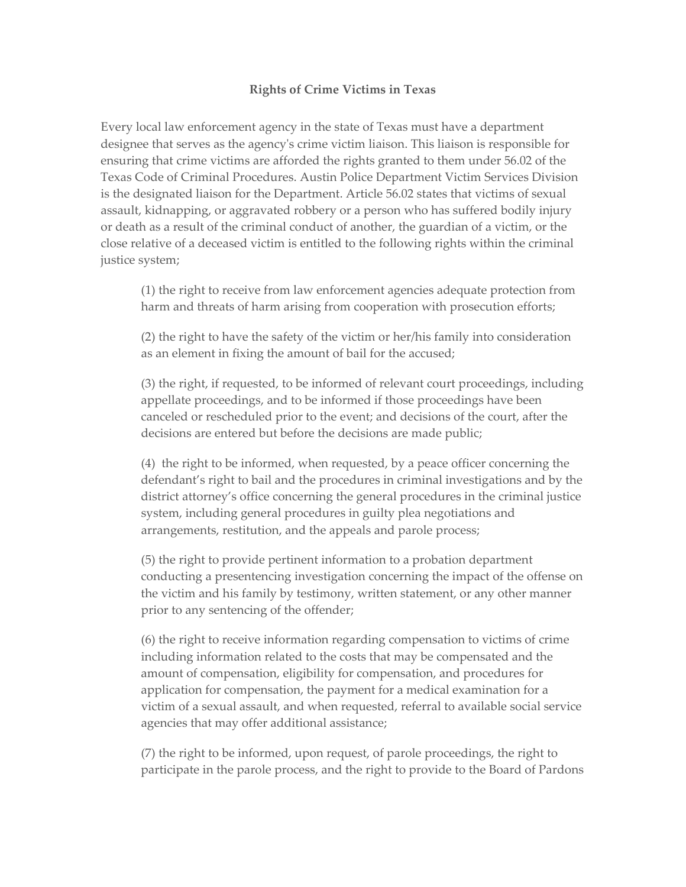## **Rights of Crime Victims in Texas**

Every local law enforcement agency in the state of Texas must have a department designee that serves as the agencyʹs crime victim liaison. This liaison is responsible for ensuring that crime victims are afforded the rights granted to them under 56.02 of the Texas Code of Criminal Procedures. Austin Police Department Victim Services Division is the designated liaison for the Department. Article 56.02 states that victims of sexual assault, kidnapping, or aggravated robbery or a person who has suffered bodily injury or death as a result of the criminal conduct of another, the guardian of a victim, or the close relative of a deceased victim is entitled to the following rights within the criminal justice system;

(1) the right to receive from law enforcement agencies adequate protection from harm and threats of harm arising from cooperation with prosecution efforts;

(2) the right to have the safety of the victim or her/his family into consideration as an element in fixing the amount of bail for the accused;

(3) the right, if requested, to be informed of relevant court proceedings, including appellate proceedings, and to be informed if those proceedings have been canceled or rescheduled prior to the event; and decisions of the court, after the decisions are entered but before the decisions are made public;

(4) the right to be informed, when requested, by a peace officer concerning the defendant's right to bail and the procedures in criminal investigations and by the district attorney's office concerning the general procedures in the criminal justice system, including general procedures in guilty plea negotiations and arrangements, restitution, and the appeals and parole process;

(5) the right to provide pertinent information to a probation department conducting a presentencing investigation concerning the impact of the offense on the victim and his family by testimony, written statement, or any other manner prior to any sentencing of the offender;

(6) the right to receive information regarding compensation to victims of crime including information related to the costs that may be compensated and the amount of compensation, eligibility for compensation, and procedures for application for compensation, the payment for a medical examination for a victim of a sexual assault, and when requested, referral to available social service agencies that may offer additional assistance;

(7) the right to be informed, upon request, of parole proceedings, the right to participate in the parole process, and the right to provide to the Board of Pardons